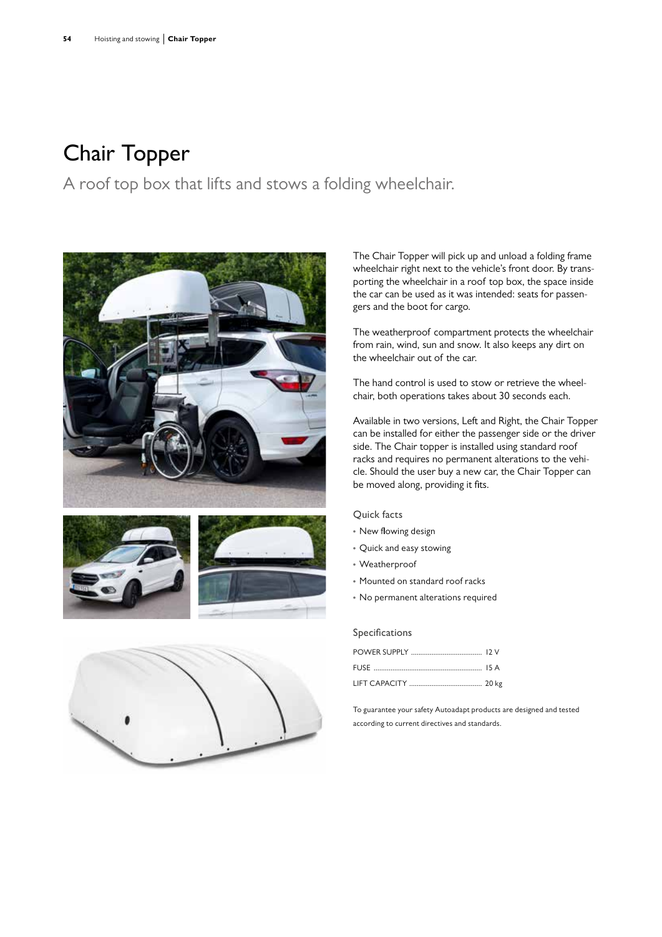## Chair Topper

A roof top box that lifts and stows a folding wheelchair.







The Chair Topper will pick up and unload a folding frame wheelchair right next to the vehicle's front door. By transporting the wheelchair in a roof top box, the space inside the car can be used as it was intended: seats for passengers and the boot for cargo.

The weatherproof compartment protects the wheelchair from rain, wind, sun and snow. It also keeps any dirt on the wheelchair out of the car.

The hand control is used to stow or retrieve the wheelchair, both operations takes about 30 seconds each.

Available in two versions, Left and Right, the Chair Topper can be installed for either the passenger side or the driver side. The Chair topper is installed using standard roof racks and requires no permanent alterations to the vehicle. Should the user buy a new car, the Chair Topper can be moved along, providing it fits.

## Quick facts

- **•** New flowing design
- **•** Quick and easy stowing
- **•** Weatherproof
- **•** Mounted on standard roof racks
- **•** No permanent alterations required

## Specifications

To guarantee your safety Autoadapt products are designed and tested according to current directives and standards.